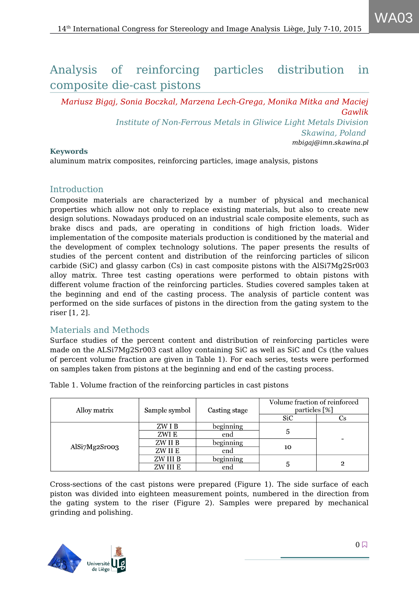# Analysis of reinforcing particles distribution in composite die-cast pistons

*Mariusz Bigaj, Sonia Boczkal, Marzena Lech-Grega, Monika Mitka and Maciej Gawlik Institute of Non-Ferrous Metals in Gliwice Light Metals Division Skawina, Poland mbigaj@imn.skawina.pl*

### **Keywords**

aluminum matrix composites, reinforcing particles, image analysis, pistons

## Introduction

Composite materials are characterized by a number of physical and mechanical properties which allow not only to replace existing materials, but also to create new design solutions. Nowadays produced on an industrial scale composite elements, such as brake discs and pads, are operating in conditions of high friction loads. Wider implementation of the composite materials production is conditioned by the material and the development of complex technology solutions. The paper presents the results of studies of the percent content and distribution of the reinforcing particles of silicon carbide (SiC) and glassy carbon (Cs) in cast composite pistons with the AlSi7Mg2Sr003 alloy matrix. Three test casting operations were performed to obtain pistons with different volume fraction of the reinforcing particles. Studies covered samples taken at the beginning and end of the casting process. The analysis of particle content was performed on the side surfaces of pistons in the direction from the gating system to the riser [1, 2].

# Materials and Methods

Surface studies of the percent content and distribution of reinforcing particles were made on the ALSi7Mg2Sr003 cast alloy containing SiC as well as SiC and Cs (the values of percent volume fraction are given in Table 1). For each series, tests were performed on samples taken from pistons at the beginning and end of the casting process.

| Alloy matrix  | Sample symbol | Casting stage | Volume fraction of reinforced<br>particles [%] |                          |  |
|---------------|---------------|---------------|------------------------------------------------|--------------------------|--|
|               |               |               | <b>SiC</b>                                     | Cs                       |  |
| AlSi7Mg2Sroo3 | ZW I B        | beginning     |                                                |                          |  |
|               | ZWI E         | end           | 5                                              |                          |  |
|               | ZW II B       | beginning     |                                                | $\overline{\phantom{a}}$ |  |
|               | ZW II E       | end           | 10                                             |                          |  |
|               | ZW III B      | beginning     |                                                |                          |  |
|               | ZW III E      | end           | 5                                              | $\mathbf 2$              |  |

Table 1. Volume fraction of the reinforcing particles in cast pistons

Cross-sections of the cast pistons were prepared (Figure 1). The side surface of each piston was divided into eighteen measurement points, numbered in the direction from the gating system to the riser (Figure 2). Samples were prepared by mechanical grinding and polishing.

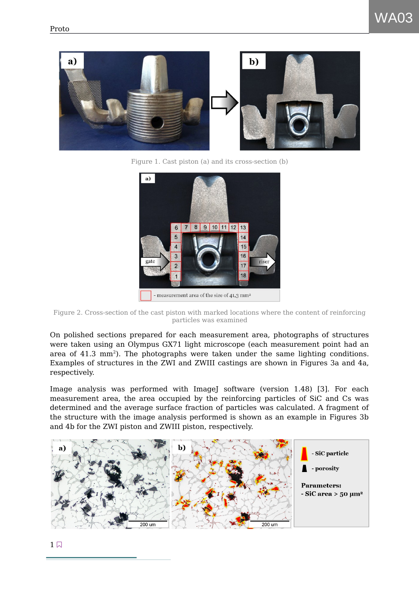

Figure 1. Cast piston (a) and its cross-section (b)



Figure 2. Cross-section of the cast piston with marked locations where the content of reinforcing particles was examined

On polished sections prepared for each measurement area, photographs of structures were taken using an Olympus GX71 light microscope (each measurement point had an area of  $41.3 \text{ mm}^2$ ). The photographs were taken under the same lighting conditions. Examples of structures in the ZWI and ZWIII castings are shown in Figures 3a and 4a, respectively.

Image analysis was performed with ImageJ software (version 1.48) [3]. For each measurement area, the area occupied by the reinforcing particles of SiC and Cs was determined and the average surface fraction of particles was calculated. A fragment of the structure with the image analysis performed is shown as an example in Figures 3b and 4b for the ZWI piston and ZWIII piston, respectively.

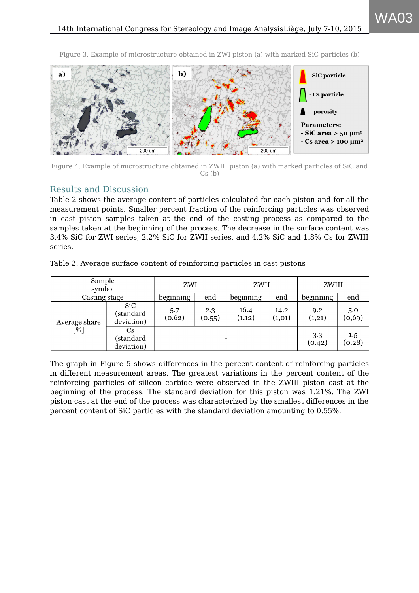Figure 3. Example of microstructure obtained in ZWI piston (a) with marked SiC particles (b)



Figure 4. Example of microstructure obtained in ZWIII piston (a) with marked particles of SiC and Cs (b)

## Results and Discussion

Table 2 shows the average content of particles calculated for each piston and for all the measurement points. Smaller percent fraction of the reinforcing particles was observed in cast piston samples taken at the end of the casting process as compared to the samples taken at the beginning of the process. The decrease in the surface content was 3.4% SiC for ZWI series, 2.2% SiC for ZWII series, and 4.2% SiC and 1.8% Cs for ZWIII series.

| Table 2. Average surface content of reinforcing particles in cast pistons |  |  |
|---------------------------------------------------------------------------|--|--|
|                                                                           |  |  |

| Sample<br>symbol     |                                                   | ZWI                      |               | ZWII           |                 | ZWIII         |               |
|----------------------|---------------------------------------------------|--------------------------|---------------|----------------|-----------------|---------------|---------------|
| Casting stage        |                                                   | beginning                | end           | beginning      | end             | beginning     | end           |
| Average share<br>[%] | <b>SiC</b><br>(standard<br>deviation)             | 5.7<br>(0.62)            | 2.3<br>(0.55) | 16.4<br>(1.12) | 14.2<br>(1, 01) | 9.2<br>(1,21) | 5.0<br>(0,69) |
|                      | $\mathbf{C}\mathbf{s}$<br>(standard<br>deviation) | $\overline{\phantom{0}}$ |               |                | 3.3<br>(0.42)   | 1.5<br>(0.28) |               |

The graph in Figure 5 shows differences in the percent content of reinforcing particles in different measurement areas. The greatest variations in the percent content of the reinforcing particles of silicon carbide were observed in the ZWIII piston cast at the beginning of the process. The standard deviation for this piston was 1.21%. The ZWI piston cast at the end of the process was characterized by the smallest differences in the percent content of SiC particles with the standard deviation amounting to 0.55%.